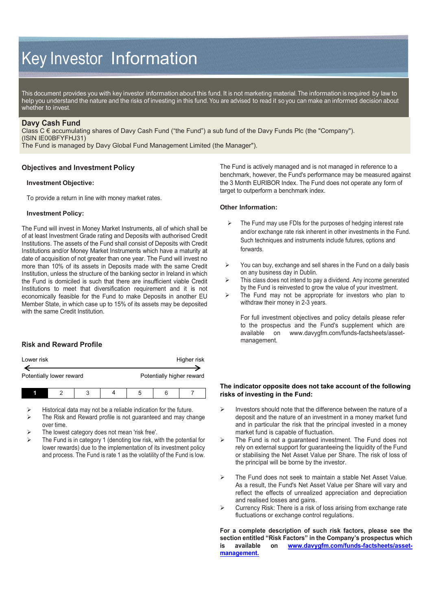# Key Investor Information

This document provides you with key investor information about this fund. It is not marketing material. The information is required by law to help you understand the nature and the risks of investing in this fund. You are advised to read it so you can make an informed decision about whether to invest.

## **Davy Cash Fund**

Class C € accumulating shares of Davy Cash Fund ("the Fund") a sub fund of the Davy Funds Plc (the "Company"). (ISIN IE00BFYFHJ31)

The Fund is managed by Davy Global Fund Management Limited (the Manager").

## **Objectives and Investment Policy**

#### **Investment Objective:**

To provide a return in line with money market rates.

#### **Investment Policy:**

The Fund will invest in Money Market Instruments, all of which shall be of at least Investment Grade rating and Deposits with authorised Credit Institutions. The assets of the Fund shall consist of Deposits with Credit Institutions and/or Money Market Instruments which have a maturity at date of acquisition of not greater than one year. The Fund will invest no more than 10% of its assets in Deposits made with the same Credit Institution, unless the structure of the banking sector in Ireland in which the Fund is domiciled is such that there are insufficient viable Credit Institutions to meet that diversification requirement and it is not economically feasible for the Fund to make Deposits in another EU Member State, in which case up to 15% of its assets may be deposited with the same Credit Institution.

# **Risk and Reward Profile**

| Lower risk<br>Potentially lower reward |  |  |  | Higher risk               |  |  |  |
|----------------------------------------|--|--|--|---------------------------|--|--|--|
|                                        |  |  |  | Potentially higher reward |  |  |  |
|                                        |  |  |  | 5                         |  |  |  |

 $\triangleright$  Historical data may not be a reliable indication for the future.<br>  $\triangleright$  The Risk and Reward profile is not quaranteed and may change

- The Risk and Reward profile is not guaranteed and may change over time.
- The lowest category does not mean 'risk free'.
- The Fund is in category 1 (denoting low risk, with the potential for lower rewards) due to the implementation of its investment policy and process. The Fund is rate 1 as the volatility of the Fund is low.

The Fund is actively managed and is not managed in reference to a benchmark, however, the Fund's performance may be measured against the 3 Month EURIBOR Index. The Fund does not operate any form of target to outperform a benchmark index.

#### **Other Information:**

- $\triangleright$  The Fund may use FDIs for the purposes of hedging interest rate and/or exchange rate risk inherent in other investments in the Fund. Such techniques and instruments include futures, options and forwards.
- $\triangleright$  You can buy, exchange and sell shares in the Fund on a daily basis on any business day in Dublin.
- $\triangleright$  This class does not intend to pay a dividend. Any income generated by the Fund is reinvested to grow the value of your investment.
- $\triangleright$  The Fund may not be appropriate for investors who plan to withdraw their money in 2-3 years.

For full investment objectives and policy details please refer to the prospectus and the Fund's supplement which are available on [www.davygfm.com/funds-factsheets/asset](http://www.davygfm.com/funds-factsheets/asset-management)[management.](http://www.davygfm.com/funds-factsheets/asset-management)

#### **The indicator opposite does not take account of the following risks of investing in the Fund:**

- $\triangleright$  Investors should note that the difference between the nature of a deposit and the nature of an investment in a money market fund and in particular the risk that the principal invested in a money market fund is capable of fluctuation.
- $\triangleright$  The Fund is not a guaranteed investment. The Fund does not rely on external support for guaranteeing the liquidity of the Fund or stabilising the Net Asset Value per Share. The risk of loss of the principal will be borne by the investor.
- $\triangleright$  The Fund does not seek to maintain a stable Net Asset Value. As a result, the Fund's Net Asset Value per Share will vary and reflect the effects of unrealized appreciation and depreciation and realised losses and gains.
- $\triangleright$  Currency Risk: There is a risk of loss arising from exchange rate fluctuations or exchange control regulations.

**For a complete description of such risk factors, please see the section entitled "Risk Factors" in the Company's prospectus which is available on [www.davygfm.com/funds-factsheets/asset](http://www.davygfm.com/funds-factsheets/asset-management)[management.](http://www.davygfm.com/funds-factsheets/asset-management)**